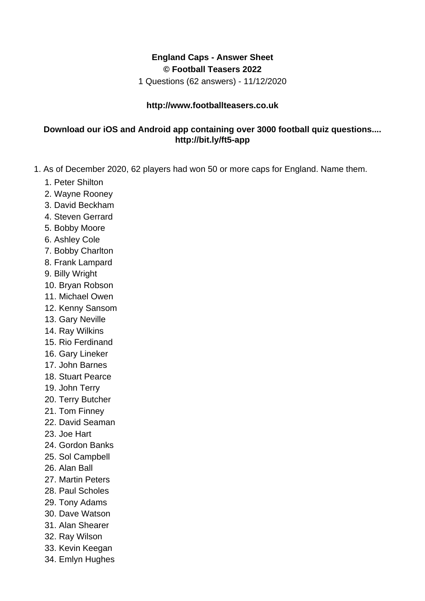## **England Caps - Answer Sheet © Football Teasers 2022**

1 Questions (62 answers) - 11/12/2020

## **http://www.footballteasers.co.uk**

## **Download our iOS and Android app containing over 3000 football quiz questions.... http://bit.ly/ft5-app**

- 1. As of December 2020, 62 players had won 50 or more caps for England. Name them.
	- 1. Peter Shilton
	- 2. Wayne Rooney
	- 3. David Beckham
	- 4. Steven Gerrard
	- 5. Bobby Moore
	- 6. Ashley Cole
	- 7. Bobby Charlton
	- 8. Frank Lampard
	- 9. Billy Wright
	- 10. Bryan Robson
	- 11. Michael Owen
	- 12. Kenny Sansom
	- 13. Gary Neville
	- 14. Ray Wilkins
	- 15. Rio Ferdinand
	- 16. Gary Lineker
	- 17. John Barnes
	- 18. Stuart Pearce
	- 19. John Terry
	- 20. Terry Butcher
	- 21. Tom Finney
	- 22. David Seaman
	- 23. Joe Hart
	- 24. Gordon Banks
	- 25. Sol Campbell
	- 26. Alan Ball
	- 27. Martin Peters
	- 28. Paul Scholes
	- 29. Tony Adams
	- 30. Dave Watson
	- 31. Alan Shearer
	- 32. Ray Wilson
	- 33. Kevin Keegan
	- 34. Emlyn Hughes